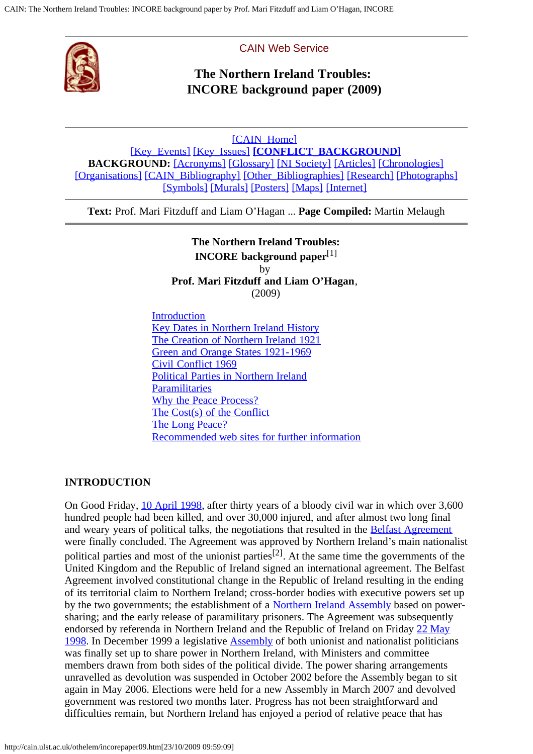<span id="page-0-1"></span>

#### CAIN Web Service

# **The Northern Ireland Troubles: INCORE background paper (2009)**

[\[CAIN\\_Home\]](http://cain.ulst.ac.uk/index.html) [\[Key\\_Events\]](http://cain.ulst.ac.uk/events/index.html) [\[Key\\_Issues\]](http://cain.ulst.ac.uk/issues/index.html) **[\[CONFLICT\\_BACKGROUND\]](http://cain.ulst.ac.uk/othelem/index.html) BACKGROUND:** [\[Acronyms\]](http://cain.ulst.ac.uk/othelem/acronyms.htm) [\[Glossary\]](http://cain.ulst.ac.uk/othelem/glossary.htm) [\[NI Society\]](http://cain.ulst.ac.uk/ni/index.html) [\[Articles\]](http://cain.ulst.ac.uk/othelem/index.html#articles) [\[Chronologies\]](http://cain.ulst.ac.uk/othelem/chron.htm) [\[Organisations\]](http://cain.ulst.ac.uk/othelem/organ/azorgan.htm) [\[CAIN\\_Bibliography\]](http://cain.ulst.ac.uk/bibdbs/cainbib.htm) [\[Other\\_Bibliographies\]](http://cain.ulst.ac.uk/bibdbs/index.html) [\[Research\]](http://cain.ulst.ac.uk/othelem/research.htm) [\[Photographs\]](http://cain.ulst.ac.uk/photographs/index.html) [\[Symbols\]](http://cain.ulst.ac.uk/images/symbols/index.html) [\[Murals\]](http://cain.ulst.ac.uk/bibdbs/murals/index.html) [\[Posters\]](http://cain.ulst.ac.uk/images/posters/index.html) [\[Maps\]](http://cain.ulst.ac.uk/images/maps/maps.htm) [\[Internet\]](http://cain.ulst.ac.uk/bibdbs/newlinks.html)

**Text:** Prof. Mari Fitzduff and Liam O'Hagan ... **Page Compiled:** Martin Melaugh

**The Northern Ireland Troubles: INCORE background paper**[1] by **Prof. Mari Fitzduff and Liam O'Hagan**, (2009)

**[Introduction](#page-0-0)** [Key Dates in Northern Ireland History](#page-1-0) [The Creation of Northern Ireland 1921](#page-1-1) [Green and Orange States 1921-1969](#page-2-0) [Civil Conflict 1969](#page-2-1) [Political Parties in Northern Ireland](#page-3-0) **[Paramilitaries](#page-0-1)** [Why the Peace Process?](#page-5-0) [The Cost\(s\) of the Conflict](#page-6-0) [The Long Peace?](#page-6-1) [Recommended web sites for further information](#page-8-0)

#### <span id="page-0-0"></span>**INTRODUCTION**

On Good Friday, [10 April 1998,](http://cain.ulst.ac.uk/othelem/chron/ch98.htm#10498) after thirty years of a bloody civil war in which over 3,600 hundred people had been killed, and over 30,000 injured, and after almost two long final and weary years of political talks, the negotiations that resulted in the **[Belfast Agreement](http://cain.ulst.ac.uk/events/peace/docs/agreement.htm)** were finally concluded. The Agreement was approved by Northern Ireland's main nationalist political parties and most of the unionist parties<sup>[2]</sup>. At the same time the governments of the United Kingdom and the Republic of Ireland signed an international agreement. The Belfast Agreement involved constitutional change in the Republic of Ireland resulting in the ending of its territorial claim to Northern Ireland; cross-border bodies with executive powers set up by the two governments; the establishment of a [Northern Ireland Assembly](http://cain.ulst.ac.uk/issues/politics/government.htm) based on powersharing; and the early release of paramilitary prisoners. The Agreement was subsequently endorsed by referenda in Northern Ireland and the Republic of Ireland on Friday [22 May](http://cain.ulst.ac.uk/othelem/chron/ch98.htm#22598) [1998](http://cain.ulst.ac.uk/othelem/chron/ch98.htm#22598). In December 1999 a legislative [Assembly](http://cain.ulst.ac.uk/issues/politics/assembly/index.html) of both unionist and nationalist politicians was finally set up to share power in Northern Ireland, with Ministers and committee members drawn from both sides of the political divide. The power sharing arrangements unravelled as devolution was suspended in October 2002 before the Assembly began to sit again in May 2006. Elections were held for a new Assembly in March 2007 and devolved government was restored two months later. Progress has not been straightforward and difficulties remain, but Northern Ireland has enjoyed a period of relative peace that has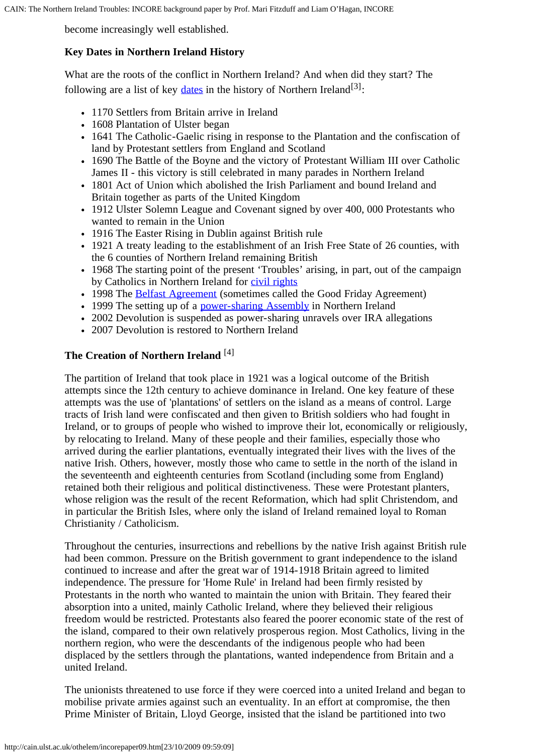become increasingly well established.

# <span id="page-1-0"></span>**Key Dates in Northern Ireland History**

What are the roots of the conflict in Northern Ireland? And when did they start? The following are a list of key [dates](http://cain.ulst.ac.uk/othelem/chron/ch67.htm) in the history of Northern Ireland<sup>[3]</sup>:

- 1170 Settlers from Britain arrive in Ireland
- 1608 Plantation of Ulster began
- 1641 The Catholic-Gaelic rising in response to the Plantation and the confiscation of land by Protestant settlers from England and Scotland
- 1690 The Battle of the Boyne and the victory of Protestant William III over Catholic James II - this victory is still celebrated in many parades in Northern Ireland
- 1801 Act of Union which abolished the Irish Parliament and bound Ireland and Britain together as parts of the United Kingdom
- 1912 Ulster Solemn League and Covenant signed by over 400, 000 Protestants who wanted to remain in the Union
- 1916 The Easter Rising in Dublin against British rule
- 1921 A treaty leading to the establishment of an Irish Free State of 26 counties, with the 6 counties of Northern Ireland remaining British
- 1968 The starting point of the present 'Troubles' arising, in part, out of the campaign by Catholics in Northern Ireland for [civil rights](http://cain.ulst.ac.uk/events/crights/crights.htm)
- 1998 The [Belfast Agreement](http://cain.ulst.ac.uk/events/peace/docs/agreement.htm) (sometimes called the Good Friday Agreement)
- 1999 The setting up of a [power-sharing Assembly](http://cain.ulst.ac.uk/issues/politics/assembly/index.html) in Northern Ireland
- 2002 Devolution is suspended as power-sharing unravels over IRA allegations
- 2007 Devolution is restored to Northern Ireland

# <span id="page-1-1"></span>**The Creation of Northern Ireland** [4]

The partition of Ireland that took place in 1921 was a logical outcome of the British attempts since the 12th century to achieve dominance in Ireland. One key feature of these attempts was the use of 'plantations' of settlers on the island as a means of control. Large tracts of Irish land were confiscated and then given to British soldiers who had fought in Ireland, or to groups of people who wished to improve their lot, economically or religiously, by relocating to Ireland. Many of these people and their families, especially those who arrived during the earlier plantations, eventually integrated their lives with the lives of the native Irish. Others, however, mostly those who came to settle in the north of the island in the seventeenth and eighteenth centuries from Scotland (including some from England) retained both their religious and political distinctiveness. These were Protestant planters, whose religion was the result of the recent Reformation, which had split Christendom, and in particular the British Isles, where only the island of Ireland remained loyal to Roman Christianity / Catholicism.

Throughout the centuries, insurrections and rebellions by the native Irish against British rule had been common. Pressure on the British government to grant independence to the island continued to increase and after the great war of 1914-1918 Britain agreed to limited independence. The pressure for 'Home Rule' in Ireland had been firmly resisted by Protestants in the north who wanted to maintain the union with Britain. They feared their absorption into a united, mainly Catholic Ireland, where they believed their religious freedom would be restricted. Protestants also feared the poorer economic state of the rest of the island, compared to their own relatively prosperous region. Most Catholics, living in the northern region, who were the descendants of the indigenous people who had been displaced by the settlers through the plantations, wanted independence from Britain and a united Ireland.

The unionists threatened to use force if they were coerced into a united Ireland and began to mobilise private armies against such an eventuality. In an effort at compromise, the then Prime Minister of Britain, Lloyd George, insisted that the island be partitioned into two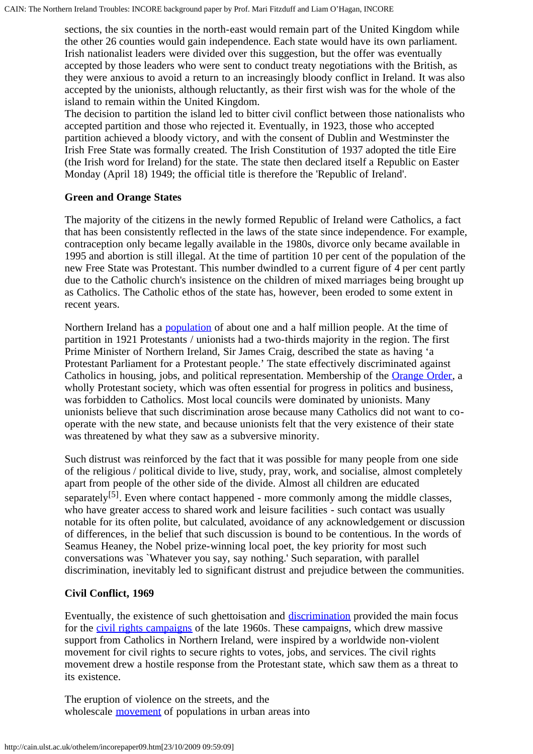sections, the six counties in the north-east would remain part of the United Kingdom while the other 26 counties would gain independence. Each state would have its own parliament. Irish nationalist leaders were divided over this suggestion, but the offer was eventually accepted by those leaders who were sent to conduct treaty negotiations with the British, as they were anxious to avoid a return to an increasingly bloody conflict in Ireland. It was also accepted by the unionists, although reluctantly, as their first wish was for the whole of the island to remain within the United Kingdom.

The decision to partition the island led to bitter civil conflict between those nationalists who accepted partition and those who rejected it. Eventually, in 1923, those who accepted partition achieved a bloody victory, and with the consent of Dublin and Westminster the Irish Free State was formally created. The Irish Constitution of 1937 adopted the title Eire (the Irish word for Ireland) for the state. The state then declared itself a Republic on Easter Monday (April 18) 1949; the official title is therefore the 'Republic of Ireland'.

#### <span id="page-2-0"></span>**Green and Orange States**

The majority of the citizens in the newly formed Republic of Ireland were Catholics, a fact that has been consistently reflected in the laws of the state since independence. For example, contraception only became legally available in the 1980s, divorce only became available in 1995 and abortion is still illegal. At the time of partition 10 per cent of the population of the new Free State was Protestant. This number dwindled to a current figure of 4 per cent partly due to the Catholic church's insistence on the children of mixed marriages being brought up as Catholics. The Catholic ethos of the state has, however, been eroded to some extent in recent years.

Northern Ireland has a [population](http://cain.ulst.ac.uk/ni/popul.htm) of about one and a half million people. At the time of partition in 1921 Protestants / unionists had a two-thirds majority in the region. The first Prime Minister of Northern Ireland, Sir James Craig, described the state as having 'a Protestant Parliament for a Protestant people.' The state effectively discriminated against Catholics in housing, jobs, and political representation. Membership of the [Orange Order,](http://cain.ulst.ac.uk/othelem/organ/oorgan.htm#oo) a wholly Protestant society, which was often essential for progress in politics and business, was forbidden to Catholics. Most local councils were dominated by unionists. Many unionists believe that such discrimination arose because many Catholics did not want to cooperate with the new state, and because unionists felt that the very existence of their state was threatened by what they saw as a subversive minority.

Such distrust was reinforced by the fact that it was possible for many people from one side of the religious / political divide to live, study, pray, work, and socialise, almost completely apart from people of the other side of the divide. Almost all children are educated separately<sup>[5]</sup>. Even where contact happened - more commonly among the middle classes, who have greater access to shared work and leisure facilities - such contact was usually notable for its often polite, but calculated, avoidance of any acknowledgement or discussion of differences, in the belief that such discussion is bound to be contentious. In the words of Seamus Heaney, the Nobel prize-winning local poet, the key priority for most such conversations was `Whatever you say, say nothing.' Such separation, with parallel discrimination, inevitably led to significant distrust and prejudice between the communities.

# <span id="page-2-1"></span>**Civil Conflict, 1969**

Eventually, the existence of such ghettoisation and [discrimination](http://cain.ulst.ac.uk/issues/discrimination/index.html) provided the main focus for the [civil rights campaigns](http://cain.ulst.ac.uk/events/crights/crights.htm) of the late 1960s. These campaigns, which drew massive support from Catholics in Northern Ireland, were inspired by a worldwide non-violent movement for civil rights to secure rights to votes, jobs, and services. The civil rights movement drew a hostile response from the Protestant state, which saw them as a threat to its existence.

The eruption of violence on the streets, and the wholescale **movement** of populations in urban areas into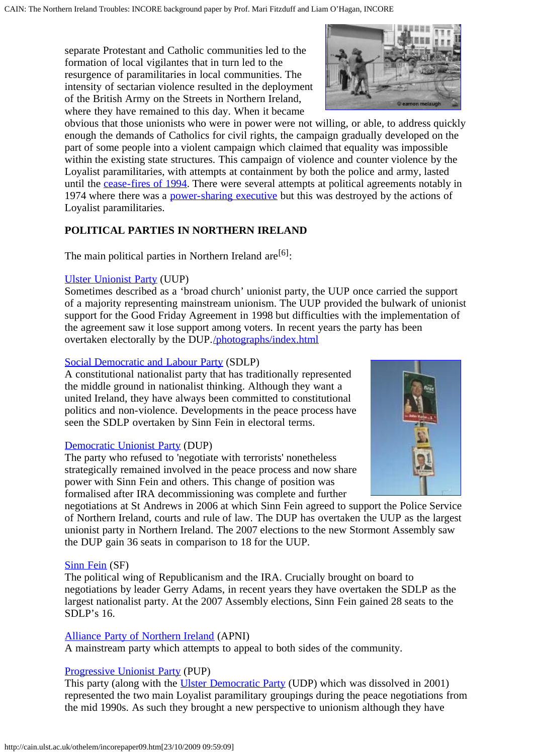separate Protestant and Catholic communities led to the formation of local vigilantes that in turn led to the resurgence of paramilitaries in local communities. The intensity of sectarian violence resulted in the deployment of the British Army on the Streets in Northern Ireland, where they have remained to this day. When it became



obvious that those unionists who were in power were not willing, or able, to address quickly enough the demands of Catholics for civil rights, the campaign gradually developed on the part of some people into a violent campaign which claimed that equality was impossible within the existing state structures. This campaign of violence and counter violence by the Loyalist paramilitaries, with attempts at containment by both the police and army, lasted until the [cease-fires of 1994.](http://cain.ulst.ac.uk/events/peace/soc.htm#1994ceasefires) There were several attempts at political agreements notably in 1974 where there was a [power-sharing executive](http://cain.ulst.ac.uk/events/sunningdale/) but this was destroyed by the actions of Loyalist paramilitaries.

# <span id="page-3-0"></span>**POLITICAL PARTIES IN NORTHERN IRELAND**

The main political parties in Northern Ireland are  $[6]$ :

#### [Ulster Unionist Party](http://cain.ulst.ac.uk/othelem/organ/uorgan.htm#uup) (UUP)

Sometimes described as a 'broad church' unionist party, the UUP once carried the support of a majority representing mainstream unionism. The UUP provided the bulwark of unionist support for the Good Friday Agreement in 1998 but difficulties with the implementation of the agreement saw it lose support among voters. In recent years the party has been overtaken electorally by the DUP.[/photographs/index.html](http://cain.ulst.ac.uk/photographs/index.html)

#### [Social Democratic and Labour Party](http://cain.ulst.ac.uk/othelem/organ/sorgan.htm#sdlp) (SDLP)

A constitutional nationalist party that has traditionally represented the middle ground in nationalist thinking. Although they want a united Ireland, they have always been committed to constitutional politics and non-violence. Developments in the peace process have seen the SDLP overtaken by Sinn Fein in electoral terms.

#### [Democratic Unionist Party](http://cain.ulst.ac.uk/othelem/organ/dorgan.htm#dup) (DUP)

The party who refused to 'negotiate with terrorists' nonetheless strategically remained involved in the peace process and now share power with Sinn Fein and others. This change of position was formalised after IRA decommissioning was complete and further



negotiations at St Andrews in 2006 at which Sinn Fein agreed to support the Police Service of Northern Ireland, courts and rule of law. The DUP has overtaken the UUP as the largest unionist party in Northern Ireland. The 2007 elections to the new Stormont Assembly saw the DUP gain 36 seats in comparison to 18 for the UUP.

#### [Sinn Fein](http://cain.ulst.ac.uk/othelem/organ/sorgan.htm#sf) (SF)

The political wing of Republicanism and the IRA. Crucially brought on board to negotiations by leader Gerry Adams, in recent years they have overtaken the SDLP as the largest nationalist party. At the 2007 Assembly elections, Sinn Fein gained 28 seats to the SDLP's 16.

#### [Alliance Party of Northern Ireland](http://cain.ulst.ac.uk/othelem/organ/aorgan.htm#apni) (APNI)

A mainstream party which attempts to appeal to both sides of the community.

#### [Progressive Unionist Party](http://cain.ulst.ac.uk/othelem/organ/porgan.htm#pup) (PUP)

This party (along with the [Ulster Democratic Party](http://cain.ulst.ac.uk/othelem/organ/uorgan.htm#udp) (UDP) which was dissolved in 2001) represented the two main Loyalist paramilitary groupings during the peace negotiations from the mid 1990s. As such they brought a new perspective to unionism although they have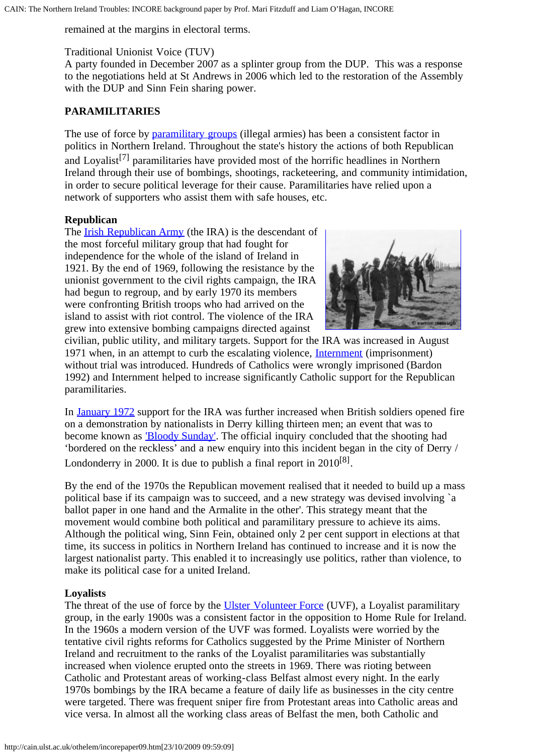remained at the margins in electoral terms.

### Traditional Unionist Voice (TUV)

A party founded in December 2007 as a splinter group from the DUP. This was a response to the negotiations held at St Andrews in 2006 which led to the restoration of the Assembly with the DUP and Sinn Fein sharing power.

# **PARAMILITARIES**

The use of force by [paramilitary groups](http://cain.ulst.ac.uk/issues/violence/paramilitary.htm) (illegal armies) has been a consistent factor in politics in Northern Ireland. Throughout the state's history the actions of both Republican and Loyalist[7] paramilitaries have provided most of the horrific headlines in Northern Ireland through their use of bombings, shootings, racketeering, and community intimidation, in order to secure political leverage for their cause. Paramilitaries have relied upon a network of supporters who assist them with safe houses, etc.

#### **Republican**

The [Irish Republican Army](http://cain.ulst.ac.uk/othelem/organ/iorgan.htm#ira) (the IRA) is the descendant of the most forceful military group that had fought for independence for the whole of the island of Ireland in 1921. By the end of 1969, following the resistance by the unionist government to the civil rights campaign, the IRA had begun to regroup, and by early 1970 its members were confronting British troops who had arrived on the island to assist with riot control. The violence of the IRA grew into extensive bombing campaigns directed against



civilian, public utility, and military targets. Support for the IRA was increased in August 1971 when, in an attempt to curb the escalating violence, [Internment](http://cain.ulst.ac.uk/events/intern/intern.htm) (imprisonment) without trial was introduced. Hundreds of Catholics were wrongly imprisoned (Bardon 1992) and Internment helped to increase significantly Catholic support for the Republican paramilitaries.

In [January 1972](http://cain.ulst.ac.uk/othelem/chron/ch72.htm#30172) support for the IRA was further increased when British soldiers opened fire on a demonstration by nationalists in Derry killing thirteen men; an event that was to become known as ['Bloody Sunday'](http://cain.ulst.ac.uk/events/bsunday/bs.htm). The official inquiry concluded that the shooting had 'bordered on the reckless' and a new enquiry into this incident began in the city of Derry / Londonderry in 2000. It is due to publish a final report in  $2010^{8}$ .

By the end of the 1970s the Republican movement realised that it needed to build up a mass political base if its campaign was to succeed, and a new strategy was devised involving `a ballot paper in one hand and the Armalite in the other'. This strategy meant that the movement would combine both political and paramilitary pressure to achieve its aims. Although the political wing, Sinn Fein, obtained only 2 per cent support in elections at that time, its success in politics in Northern Ireland has continued to increase and it is now the largest nationalist party. This enabled it to increasingly use politics, rather than violence, to make its political case for a united Ireland.

# **Loyalists**

The threat of the use of force by the [Ulster Volunteer Force](http://cain.ulst.ac.uk/othelem/organ/uorgan.htm#uvf) (UVF), a Loyalist paramilitary group, in the early 1900s was a consistent factor in the opposition to Home Rule for Ireland. In the 1960s a modern version of the UVF was formed. Loyalists were worried by the tentative civil rights reforms for Catholics suggested by the Prime Minister of Northern Ireland and recruitment to the ranks of the Loyalist paramilitaries was substantially increased when violence erupted onto the streets in 1969. There was rioting between Catholic and Protestant areas of working-class Belfast almost every night. In the early 1970s bombings by the IRA became a feature of daily life as businesses in the city centre were targeted. There was frequent sniper fire from Protestant areas into Catholic areas and vice versa. In almost all the working class areas of Belfast the men, both Catholic and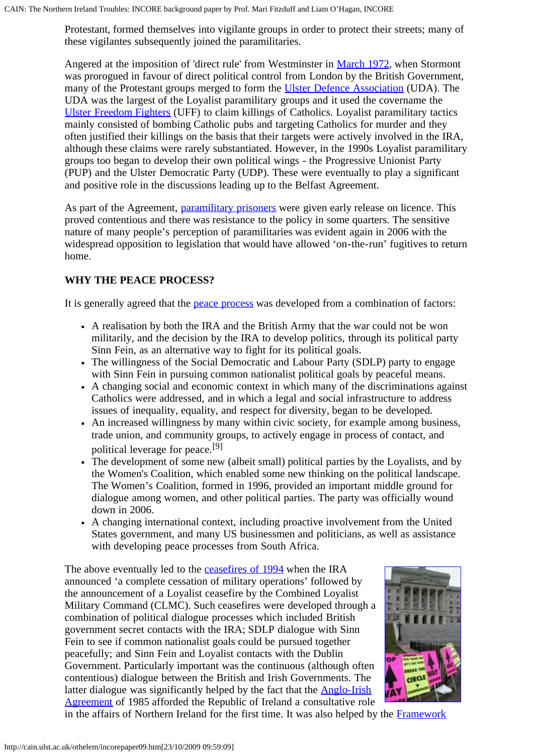Protestant, formed themselves into vigilante groups in order to protect their streets; many of these vigilantes subsequently joined the paramilitaries.

Angered at the imposition of 'direct rule' from Westminster in [March 1972,](http://cain.ulst.ac.uk/othelem/chron/ch72.htm#24372) when Stormont was prorogued in favour of direct political control from London by the British Government, many of the Protestant groups merged to form the [Ulster Defence Association](http://cain.ulst.ac.uk/othelem/organ/uorgan.htm#uda) (UDA). The UDA was the largest of the Loyalist paramilitary groups and it used the covername the [Ulster Freedom Fighters](http://cain.ulst.ac.uk/othelem/organ/uorgan.htm#uff) (UFF) to claim killings of Catholics. Loyalist paramilitary tactics mainly consisted of bombing Catholic pubs and targeting Catholics for murder and they often justified their killings on the basis that their targets were actively involved in the IRA, although these claims were rarely substantiated. However, in the 1990s Loyalist paramilitary groups too began to develop their own political wings - the Progressive Unionist Party (PUP) and the Ulster Democratic Party (UDP). These were eventually to play a significant and positive role in the discussions leading up to the Belfast Agreement.

As part of the Agreement, [paramilitary prisoners](http://cain.ulst.ac.uk/events/peace/docs/agreement.htm#prisoners) were given early release on licence. This proved contentious and there was resistance to the policy in some quarters. The sensitive nature of many people's perception of paramilitaries was evident again in 2006 with the widespread opposition to legislation that would have allowed 'on-the-run' fugitives to return home.

# <span id="page-5-0"></span>**WHY THE PEACE PROCESS?**

It is generally agreed that the [peace process](http://cain.ulst.ac.uk/events/peace/peace.htm) was developed from a combination of factors:

- A realisation by both the IRA and the British Army that the war could not be won militarily, and the decision by the IRA to develop politics, through its political party Sinn Fein, as an alternative way to fight for its political goals.
- The willingness of the Social Democratic and Labour Party (SDLP) party to engage with Sinn Fein in pursuing common nationalist political goals by peaceful means.
- A changing social and economic context in which many of the discriminations against Catholics were addressed, and in which a legal and social infrastructure to address issues of inequality, equality, and respect for diversity, began to be developed.
- An increased willingness by many within civic society, for example among business, trade union, and community groups, to actively engage in process of contact, and political leverage for peace.[9]
- The development of some new (albeit small) political parties by the Loyalists, and by the Women's Coalition, which enabled some new thinking on the political landscape. The Women's Coalition, formed in 1996, provided an important middle ground for dialogue among women, and other political parties. The party was officially wound down in 2006.
- A changing international context, including proactive involvement from the United States government, and many US businessmen and politicians, as well as assistance with developing peace processes from South Africa.

The above eventually led to the [ceasefires of 1994](http://cain.ulst.ac.uk/events/peace/soc.htm#1994ceasefires) when the IRA announced 'a complete cessation of military operations' followed by the announcement of a Loyalist ceasefire by the Combined Loyalist Military Command (CLMC). Such ceasefires were developed through a combination of political dialogue processes which included British government secret contacts with the IRA; SDLP dialogue with Sinn Fein to see if common nationalist goals could be pursued together peacefully; and Sinn Fein and Loyalist contacts with the Dublin Government. Particularly important was the continuous (although often contentious) dialogue between the British and Irish Governments. The latter dialogue was significantly helped by the fact that the [Anglo-Irish](http://cain.ulst.ac.uk/events/aia/aia.htm) [Agreement](http://cain.ulst.ac.uk/events/aia/aia.htm) of 1985 afforded the Republic of Ireland a consultative role



in the affairs of Northern Ireland for the first time. It was also helped by the [Framework](http://cain.ulst.ac.uk/events/peace/docs/fd22295.htm)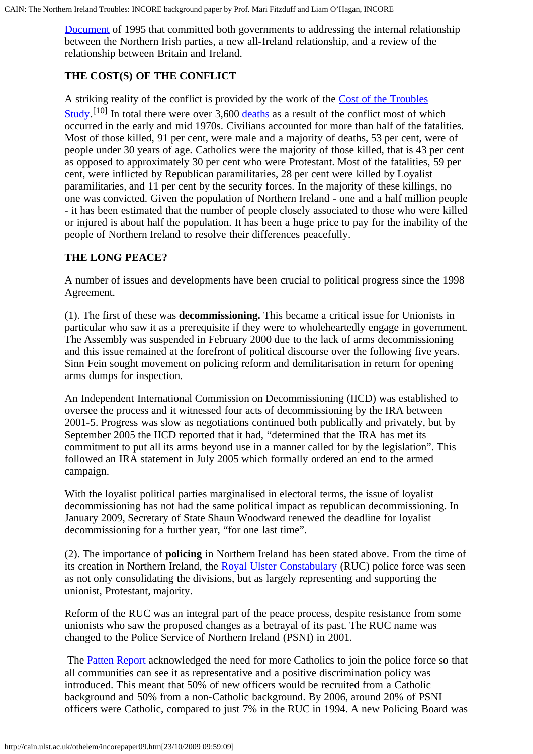[Document](http://cain.ulst.ac.uk/events/peace/docs/fd22295.htm) of 1995 that committed both governments to addressing the internal relationship between the Northern Irish parties, a new all-Ireland relationship, and a review of the relationship between Britain and Ireland.

# <span id="page-6-0"></span>**THE COST(S) OF THE CONFLICT**

A striking reality of the conflict is provided by the work of the [Cost of the Troubles](http://cain.ulst.ac.uk/cts/)  $\frac{\text{Study}}{\text{I}}^{[10]}$  In total there were over 3,600 [deaths](http://cain.ulst.ac.uk/sutton/) as a result of the conflict most of which occurred in the early and mid 1970s. Civilians accounted for more than half of the fatalities. Most of those killed, 91 per cent, were male and a majority of deaths, 53 per cent, were of people under 30 years of age. Catholics were the majority of those killed, that is 43 per cent as opposed to approximately 30 per cent who were Protestant. Most of the fatalities, 59 per cent, were inflicted by Republican paramilitaries, 28 per cent were killed by Loyalist paramilitaries, and 11 per cent by the security forces. In the majority of these killings, no one was convicted. Given the population of Northern Ireland - one and a half million people - it has been estimated that the number of people closely associated to those who were killed or injured is about half the population. It has been a huge price to pay for the inability of the people of Northern Ireland to resolve their differences peacefully.

#### <span id="page-6-1"></span>**THE LONG PEACE?**

A number of issues and developments have been crucial to political progress since the 1998 Agreement.

(1). The first of these was **decommissioning.** This became a critical issue for Unionists in particular who saw it as a prerequisite if they were to wholeheartedly engage in government. The Assembly was suspended in February 2000 due to the lack of arms decommissioning and this issue remained at the forefront of political discourse over the following five years. Sinn Fein sought movement on policing reform and demilitarisation in return for opening arms dumps for inspection.

An Independent International Commission on Decommissioning (IICD) was established to oversee the process and it witnessed four acts of decommissioning by the IRA between 2001-5. Progress was slow as negotiations continued both publically and privately, but by September 2005 the IICD reported that it had, "determined that the IRA has met its commitment to put all its arms beyond use in a manner called for by the legislation". This followed an IRA statement in July 2005 which formally ordered an end to the armed campaign.

With the loyalist political parties marginalised in electoral terms, the issue of loyalist decommissioning has not had the same political impact as republican decommissioning. In January 2009, Secretary of State Shaun Woodward renewed the deadline for loyalist decommissioning for a further year, "for one last time".

(2). The importance of **policing** in Northern Ireland has been stated above. From the time of its creation in Northern Ireland, the [Royal Ulster Constabulary](http://cain.ulst.ac.uk/othelem/organ/rorgan.htm#ruc) (RUC) police force was seen as not only consolidating the divisions, but as largely representing and supporting the unionist, Protestant, majority.

Reform of the RUC was an integral part of the peace process, despite resistance from some unionists who saw the proposed changes as a betrayal of its past. The RUC name was changed to the Police Service of Northern Ireland (PSNI) in 2001.

The **[Patten Report](http://cain.ulst.ac.uk/issues/police/patten/recommend.htm)** acknowledged the need for more Catholics to join the police force so that all communities can see it as representative and a positive discrimination policy was introduced. This meant that 50% of new officers would be recruited from a Catholic background and 50% from a non-Catholic background. By 2006, around 20% of PSNI officers were Catholic, compared to just 7% in the RUC in 1994. A new Policing Board was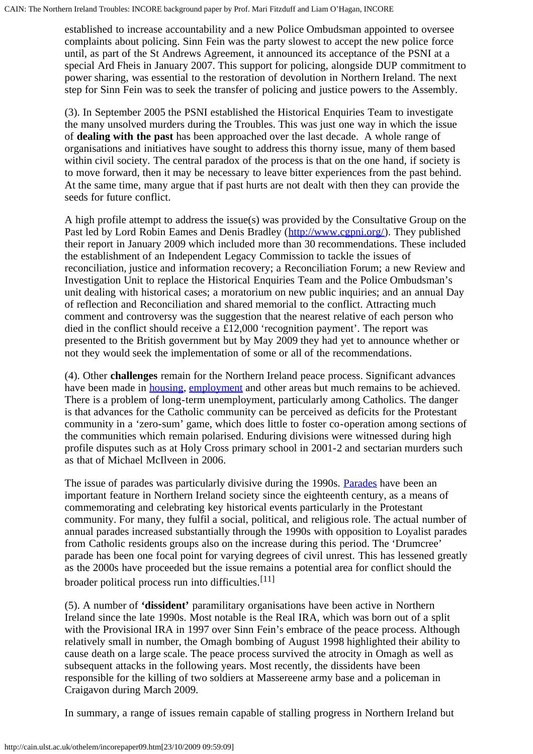established to increase accountability and a new Police Ombudsman appointed to oversee complaints about policing. Sinn Fein was the party slowest to accept the new police force until, as part of the St Andrews Agreement, it announced its acceptance of the PSNI at a special Ard Fheis in January 2007. This support for policing, alongside DUP commitment to power sharing, was essential to the restoration of devolution in Northern Ireland. The next step for Sinn Fein was to seek the transfer of policing and justice powers to the Assembly.

(3). In September 2005 the PSNI established the Historical Enquiries Team to investigate the many unsolved murders during the Troubles. This was just one way in which the issue of **dealing with the past** has been approached over the last decade. A whole range of organisations and initiatives have sought to address this thorny issue, many of them based within civil society. The central paradox of the process is that on the one hand, if society is to move forward, then it may be necessary to leave bitter experiences from the past behind. At the same time, many argue that if past hurts are not dealt with then they can provide the seeds for future conflict.

A high profile attempt to address the issue(s) was provided by the Consultative Group on the Past led by Lord Robin Eames and Denis Bradley (<http://www.cgpni.org/>). They published their report in January 2009 which included more than 30 recommendations. These included the establishment of an Independent Legacy Commission to tackle the issues of reconciliation, justice and information recovery; a Reconciliation Forum; a new Review and Investigation Unit to replace the Historical Enquiries Team and the Police Ombudsman's unit dealing with historical cases; a moratorium on new public inquiries; and an annual Day of reflection and Reconciliation and shared memorial to the conflict. Attracting much comment and controversy was the suggestion that the nearest relative of each person who died in the conflict should receive a £12,000 'recognition payment'. The report was presented to the British government but by May 2009 they had yet to announce whether or not they would seek the implementation of some or all of the recommendations.

(4). Other **challenges** remain for the Northern Ireland peace process. Significant advances have been made in [housing](http://cain.ulst.ac.uk/ni/housing.htm), [employment](http://cain.ulst.ac.uk/ni/employ.htm) and other areas but much remains to be achieved. There is a problem of long-term unemployment, particularly among Catholics. The danger is that advances for the Catholic community can be perceived as deficits for the Protestant community in a 'zero-sum' game, which does little to foster co-operation among sections of the communities which remain polarised. Enduring divisions were witnessed during high profile disputes such as at Holy Cross primary school in 2001-2 and sectarian murders such as that of Michael McIlveen in 2006.

The issue of parades was particularly divisive during the 1990s. [Parades](http://cain.ulst.ac.uk/issues/parade/parade.htm) have been an important feature in Northern Ireland society since the eighteenth century, as a means of commemorating and celebrating key historical events particularly in the Protestant community. For many, they fulfil a social, political, and religious role. The actual number of annual parades increased substantially through the 1990s with opposition to Loyalist parades from Catholic residents groups also on the increase during this period. The 'Drumcree' parade has been one focal point for varying degrees of civil unrest. This has lessened greatly as the 2000s have proceeded but the issue remains a potential area for conflict should the broader political process run into difficulties.[11]

(5). A number of **'dissident'** paramilitary organisations have been active in Northern Ireland since the late 1990s. Most notable is the Real IRA, which was born out of a split with the Provisional IRA in 1997 over Sinn Fein's embrace of the peace process. Although relatively small in number, the Omagh bombing of August 1998 highlighted their ability to cause death on a large scale. The peace process survived the atrocity in Omagh as well as subsequent attacks in the following years. Most recently, the dissidents have been responsible for the killing of two soldiers at Massereene army base and a policeman in Craigavon during March 2009.

In summary, a range of issues remain capable of stalling progress in Northern Ireland but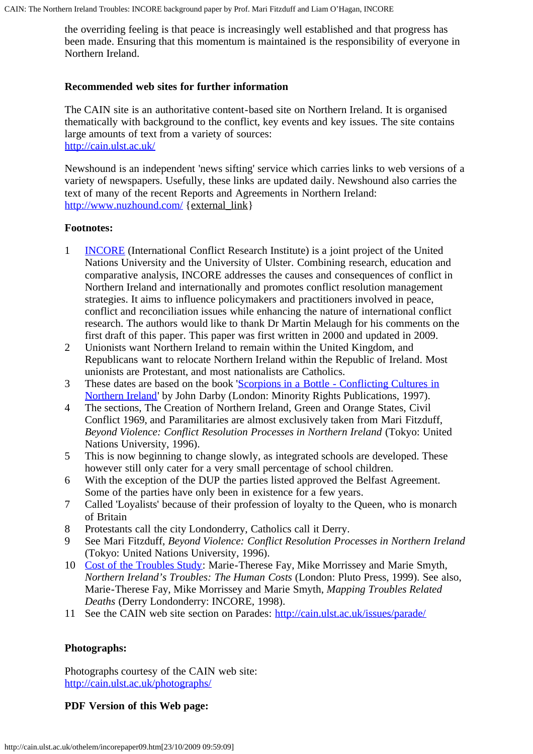the overriding feeling is that peace is increasingly well established and that progress has been made. Ensuring that this momentum is maintained is the responsibility of everyone in Northern Ireland.

#### <span id="page-8-0"></span>**Recommended web sites for further information**

The CAIN site is an authoritative content-based site on Northern Ireland. It is organised thematically with background to the conflict, key events and key issues. The site contains large amounts of text from a variety of sources: <http://cain.ulst.ac.uk/>

Newshound is an independent 'news sifting' service which carries links to web versions of a variety of newspapers. Usefully, these links are updated daily. Newshound also carries the text of many of the recent Reports and Agreements in Northern Ireland: <http://www.nuzhound.com/> {external\_link}

#### **Footnotes:**

- 1 [INCORE](http://www.incore.ulst.ac.uk/) (International Conflict Research Institute) is a joint project of the United Nations University and the University of Ulster. Combining research, education and comparative analysis, INCORE addresses the causes and consequences of conflict in Northern Ireland and internationally and promotes conflict resolution management strategies. It aims to influence policymakers and practitioners involved in peace, conflict and reconciliation issues while enhancing the nature of international conflict research. The authors would like to thank Dr Martin Melaugh for his comments on the first draft of this paper. This paper was first written in 2000 and updated in 2009.
- 2 Unionists want Northern Ireland to remain within the United Kingdom, and Republicans want to relocate Northern Ireland within the Republic of Ireland. Most unionists are Protestant, and most nationalists are Catholics.
- 3 These dates are based on the book '[Scorpions in a Bottle Conflicting Cultures in](http://cain.ulst.ac.uk/othelem/research/darby9.htm) [Northern Ireland](http://cain.ulst.ac.uk/othelem/research/darby9.htm)' by John Darby (London: Minority Rights Publications, 1997).
- 4 The sections, The Creation of Northern Ireland, Green and Orange States, Civil Conflict 1969, and Paramilitaries are almost exclusively taken from Mari Fitzduff, *Beyond Violence: Conflict Resolution Processes in Northern Ireland* (Tokyo: United Nations University, 1996).
- 5 This is now beginning to change slowly, as integrated schools are developed. These however still only cater for a very small percentage of school children.
- 6 With the exception of the DUP the parties listed approved the Belfast Agreement. Some of the parties have only been in existence for a few years.
- 7 Called 'Loyalists' because of their profession of loyalty to the Queen, who is monarch of Britain
- 8 Protestants call the city Londonderry, Catholics call it Derry.
- 9 See Mari Fitzduff, *Beyond Violence: Conflict Resolution Processes in Northern Ireland* (Tokyo: United Nations University, 1996).
- 10 [Cost of the Troubles Study](http://cain.ulst.ac.uk/cts/): Marie-Therese Fay, Mike Morrissey and Marie Smyth, *Northern Ireland's Troubles: The Human Costs* (London: Pluto Press, 1999). See also, Marie-Therese Fay, Mike Morrissey and Marie Smyth, *Mapping Troubles Related Deaths* (Derry Londonderry: INCORE, 1998).
- 11 See the CAIN web site section on Parades: <http://cain.ulst.ac.uk/issues/parade/>

# **Photographs:**

Photographs courtesy of the CAIN web site: <http://cain.ulst.ac.uk/photographs/>

# **PDF Version of this Web page:**